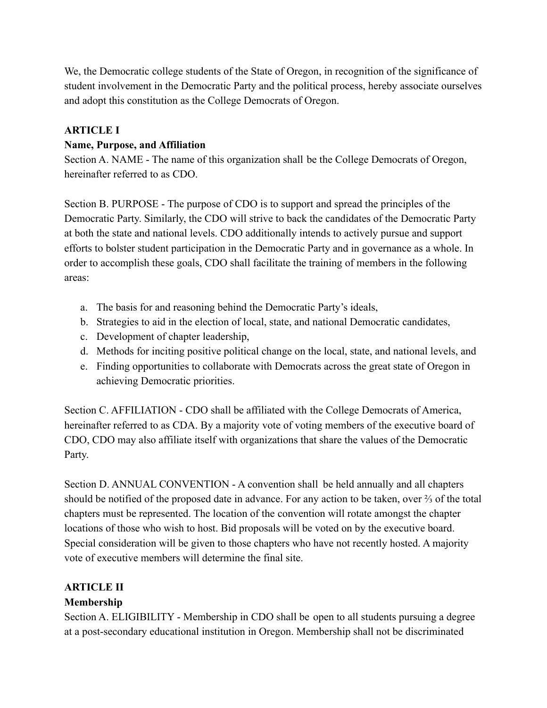We, the Democratic college students of the State of Oregon, in recognition of the significance of student involvement in the Democratic Party and the political process, hereby associate ourselves and adopt this constitution as the College Democrats of Oregon.

## **ARTICLE I**

## **Name, Purpose, and Affiliation**

Section A. NAME - The name of this organization shall be the College Democrats of Oregon, hereinafter referred to as CDO.

Section B. PURPOSE - The purpose of CDO is to support and spread the principles of the Democratic Party. Similarly, the CDO will strive to back the candidates of the Democratic Party at both the state and national levels. CDO additionally intends to actively pursue and support efforts to bolster student participation in the Democratic Party and in governance as a whole. In order to accomplish these goals, CDO shall facilitate the training of members in the following areas:

- a. The basis for and reasoning behind the Democratic Party's ideals,
- b. Strategies to aid in the election of local, state, and national Democratic candidates,
- c. Development of chapter leadership,
- d. Methods for inciting positive political change on the local, state, and national levels, and
- e. Finding opportunities to collaborate with Democrats across the great state of Oregon in achieving Democratic priorities.

Section C. AFFILIATION - CDO shall be affiliated with the College Democrats of America, hereinafter referred to as CDA. By a majority vote of voting members of the executive board of CDO, CDO may also affiliate itself with organizations that share the values of the Democratic Party.

Section D. ANNUAL CONVENTION - A convention shall be held annually and all chapters should be notified of the proposed date in advance. For any action to be taken, over  $\frac{2}{3}$  of the total chapters must be represented. The location of the convention will rotate amongst the chapter locations of those who wish to host. Bid proposals will be voted on by the executive board. Special consideration will be given to those chapters who have not recently hosted. A majority vote of executive members will determine the final site.

# **ARTICLE II**

# **Membership**

Section A. ELIGIBILITY - Membership in CDO shall be open to all students pursuing a degree at a post-secondary educational institution in Oregon. Membership shall not be discriminated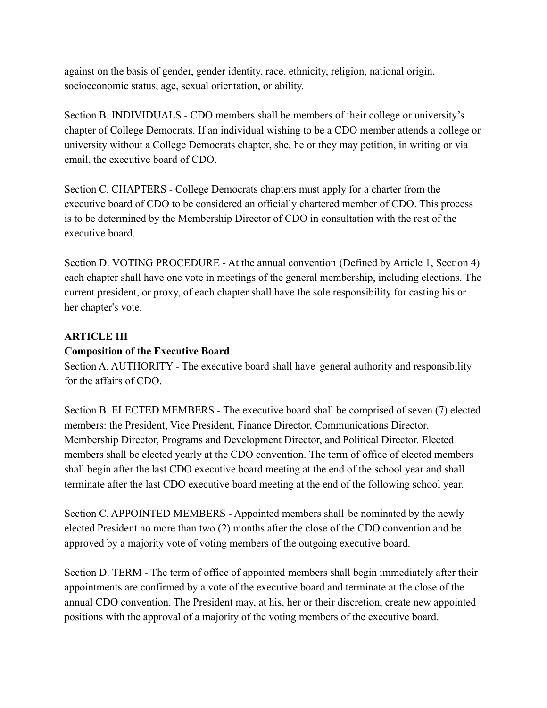against on the basis of gender, gender identity, race, ethnicity, religion, national origin, socioeconomic status, age, sexual orientation, or ability.

Section B. INDIVIDUALS - CDO members shall be members of their college or university's chapter of College Democrats. If an individual wishing to be a CDO member attends a college or university without a College Democrats chapter, she, he or they may petition, in writing or via email, the executive board of CDO.

Section C. CHAPTERS - College Democrats chapters must apply for a charter from the executive board of CDO to be considered an officially chartered member of CDO. This process is to be determined by the Membership Director of CDO in consultation with the rest of the executive board.

Section D. VOTING PROCEDURE - At the annual convention (Defined by Article 1, Section 4) each chapter shall have one vote in meetings of the general membership, including elections. The current president, or proxy, of each chapter shall have the sole responsibility for casting his or her chapter's vote.

## **ARTICLE III**

#### **Composition of the Executive Board**

Section A. AUTHORITY - The executive board shall have general authority and responsibility for the affairs of CDO.

Section B. ELECTED MEMBERS - The executive board shall be comprised of seven (7) elected members: the President, Vice President, Finance Director, Communications Director, Membership Director, Programs and Development Director, and Political Director. Elected members shall be elected yearly at the CDO convention. The term of office of elected members shall begin after the last CDO executive board meeting at the end of the school year and shall terminate after the last CDO executive board meeting at the end of the following school year.

Section C. APPOINTED MEMBERS - Appointed members shall be nominated by the newly elected President no more than two (2) months after the close of the CDO convention and be approved by a majority vote of voting members of the outgoing executive board.

Section D. TERM - The term of office of appointed members shall begin immediately after their appointments are confirmed by a vote of the executive board and terminate at the close of the annual CDO convention. The President may, at his, her or their discretion, create new appointed positions with the approval of a majority of the voting members of the executive board.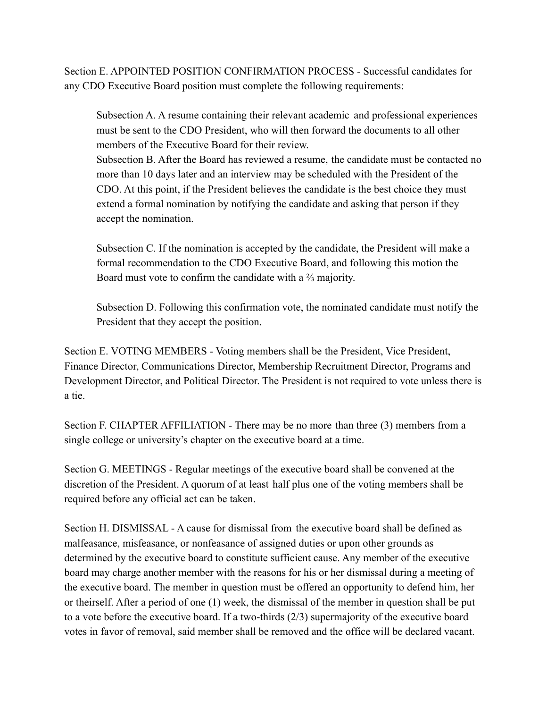Section E. APPOINTED POSITION CONFIRMATION PROCESS - Successful candidates for any CDO Executive Board position must complete the following requirements:

Subsection A. A resume containing their relevant academic and professional experiences must be sent to the CDO President, who will then forward the documents to all other members of the Executive Board for their review Subsection B. After the Board has reviewed a resume, the candidate must be contacted no

more than 10 days later and an interview may be scheduled with the President of the CDO. At this point, if the President believes the candidate is the best choice they must extend a formal nomination by notifying the candidate and asking that person if they accept the nomination.

Subsection C. If the nomination is accepted by the candidate, the President will make a formal recommendation to the CDO Executive Board, and following this motion the Board must vote to confirm the candidate with a ⅔ majority.

Subsection D. Following this confirmation vote, the nominated candidate must notify the President that they accept the position.

Section E. VOTING MEMBERS - Voting members shall be the President, Vice President, Finance Director, Communications Director, Membership Recruitment Director, Programs and Development Director, and Political Director. The President is not required to vote unless there is a tie.

Section F. CHAPTER AFFILIATION - There may be no more than three (3) members from a single college or university's chapter on the executive board at a time.

Section G. MEETINGS - Regular meetings of the executive board shall be convened at the discretion of the President. A quorum of at least half plus one of the voting members shall be required before any official act can be taken.

Section H. DISMISSAL - A cause for dismissal from the executive board shall be defined as malfeasance, misfeasance, or nonfeasance of assigned duties or upon other grounds as determined by the executive board to constitute sufficient cause. Any member of the executive board may charge another member with the reasons for his or her dismissal during a meeting of the executive board. The member in question must be offered an opportunity to defend him, her or theirself. After a period of one (1) week, the dismissal of the member in question shall be put to a vote before the executive board. If a two-thirds (2/3) supermajority of the executive board votes in favor of removal, said member shall be removed and the office will be declared vacant.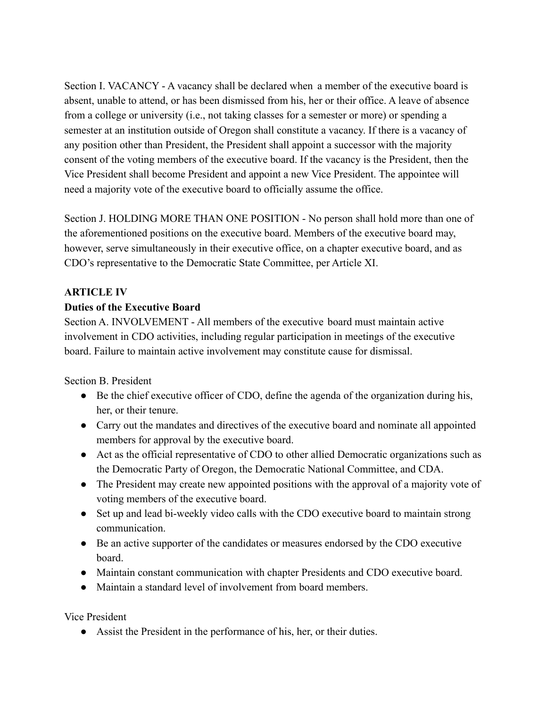Section I. VACANCY - A vacancy shall be declared when a member of the executive board is absent, unable to attend, or has been dismissed from his, her or their office. A leave of absence from a college or university (i.e., not taking classes for a semester or more) or spending a semester at an institution outside of Oregon shall constitute a vacancy. If there is a vacancy of any position other than President, the President shall appoint a successor with the majority consent of the voting members of the executive board. If the vacancy is the President, then the Vice President shall become President and appoint a new Vice President. The appointee will need a majority vote of the executive board to officially assume the office.

Section J. HOLDING MORE THAN ONE POSITION - No person shall hold more than one of the aforementioned positions on the executive board. Members of the executive board may, however, serve simultaneously in their executive office, on a chapter executive board, and as CDO's representative to the Democratic State Committee, per Article XI.

# **ARTICLE IV**

#### **Duties of the Executive Board**

Section A. INVOLVEMENT - All members of the executive board must maintain active involvement in CDO activities, including regular participation in meetings of the executive board. Failure to maintain active involvement may constitute cause for dismissal.

Section B. President

- Be the chief executive officer of CDO, define the agenda of the organization during his, her, or their tenure.
- Carry out the mandates and directives of the executive board and nominate all appointed members for approval by the executive board.
- Act as the official representative of CDO to other allied Democratic organizations such as the Democratic Party of Oregon, the Democratic National Committee, and CDA.
- The President may create new appointed positions with the approval of a majority vote of voting members of the executive board.
- Set up and lead bi-weekly video calls with the CDO executive board to maintain strong communication.
- Be an active supporter of the candidates or measures endorsed by the CDO executive board.
- Maintain constant communication with chapter Presidents and CDO executive board.
- Maintain a standard level of involvement from board members.

Vice President

● Assist the President in the performance of his, her, or their duties.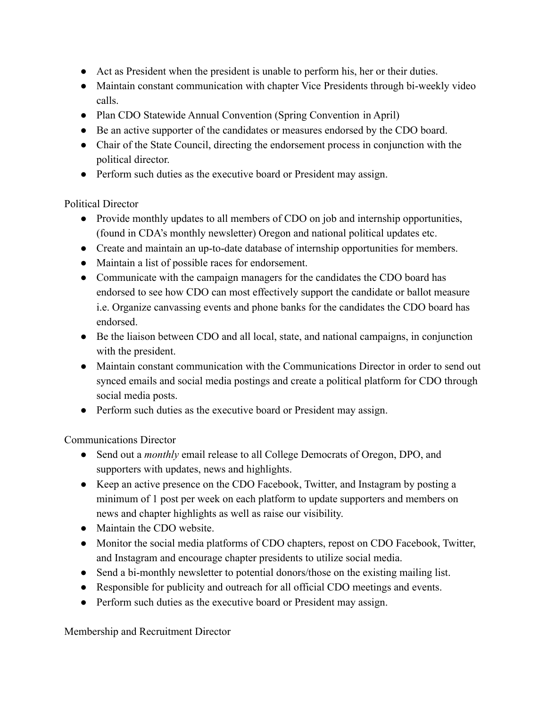- Act as President when the president is unable to perform his, her or their duties.
- Maintain constant communication with chapter Vice Presidents through bi-weekly video calls.
- Plan CDO Statewide Annual Convention (Spring Convention in April)
- Be an active supporter of the candidates or measures endorsed by the CDO board.
- Chair of the State Council, directing the endorsement process in conjunction with the political director.
- Perform such duties as the executive board or President may assign.

Political Director

- Provide monthly updates to all members of CDO on job and internship opportunities, (found in CDA's monthly newsletter) Oregon and national political updates etc.
- Create and maintain an up-to-date database of internship opportunities for members.
- Maintain a list of possible races for endorsement.
- Communicate with the campaign managers for the candidates the CDO board has endorsed to see how CDO can most effectively support the candidate or ballot measure i.e. Organize canvassing events and phone banks for the candidates the CDO board has endorsed.
- Be the liaison between CDO and all local, state, and national campaigns, in conjunction with the president.
- Maintain constant communication with the Communications Director in order to send out synced emails and social media postings and create a political platform for CDO through social media posts.
- Perform such duties as the executive board or President may assign.

Communications Director

- Send out a *monthly* email release to all College Democrats of Oregon, DPO, and supporters with updates, news and highlights.
- Keep an active presence on the CDO Facebook, Twitter, and Instagram by posting a minimum of 1 post per week on each platform to update supporters and members on news and chapter highlights as well as raise our visibility.
- Maintain the CDO website.
- Monitor the social media platforms of CDO chapters, repost on CDO Facebook, Twitter, and Instagram and encourage chapter presidents to utilize social media.
- Send a bi-monthly newsletter to potential donors/those on the existing mailing list.
- Responsible for publicity and outreach for all official CDO meetings and events.
- Perform such duties as the executive board or President may assign.

Membership and Recruitment Director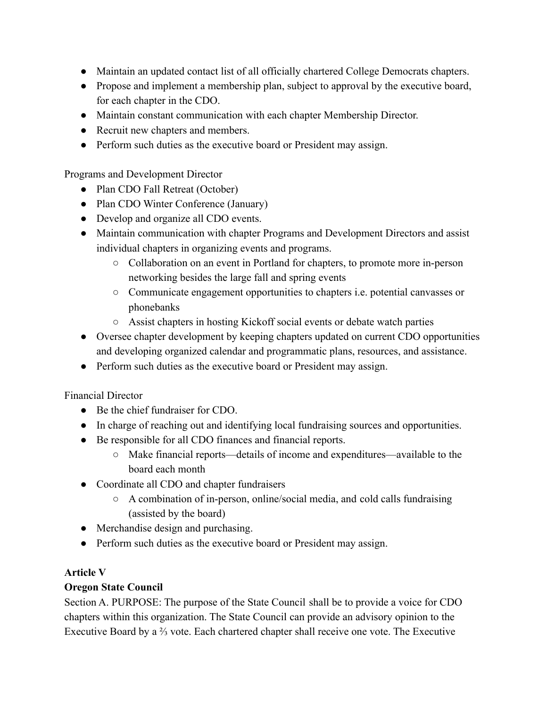- Maintain an updated contact list of all officially chartered College Democrats chapters.
- Propose and implement a membership plan, subject to approval by the executive board, for each chapter in the CDO.
- Maintain constant communication with each chapter Membership Director.
- Recruit new chapters and members.
- Perform such duties as the executive board or President may assign.

Programs and Development Director

- Plan CDO Fall Retreat (October)
- Plan CDO Winter Conference (January)
- Develop and organize all CDO events.
- Maintain communication with chapter Programs and Development Directors and assist individual chapters in organizing events and programs.
	- Collaboration on an event in Portland for chapters, to promote more in-person networking besides the large fall and spring events
	- Communicate engagement opportunities to chapters i.e. potential canvasses or phonebanks
	- Assist chapters in hosting Kickoff social events or debate watch parties
- Oversee chapter development by keeping chapters updated on current CDO opportunities and developing organized calendar and programmatic plans, resources, and assistance.
- Perform such duties as the executive board or President may assign.

Financial Director

- Be the chief fundraiser for CDO.
- In charge of reaching out and identifying local fundraising sources and opportunities.
- Be responsible for all CDO finances and financial reports.
	- Make financial reports—details of income and expenditures—available to the board each month
- Coordinate all CDO and chapter fundraisers
	- A combination of in-person, online/social media, and cold calls fundraising (assisted by the board)
- Merchandise design and purchasing.
- Perform such duties as the executive board or President may assign.

## **Article V**

## **Oregon State Council**

Section A. PURPOSE: The purpose of the State Council shall be to provide a voice for CDO chapters within this organization. The State Council can provide an advisory opinion to the Executive Board by a ⅔ vote. Each chartered chapter shall receive one vote. The Executive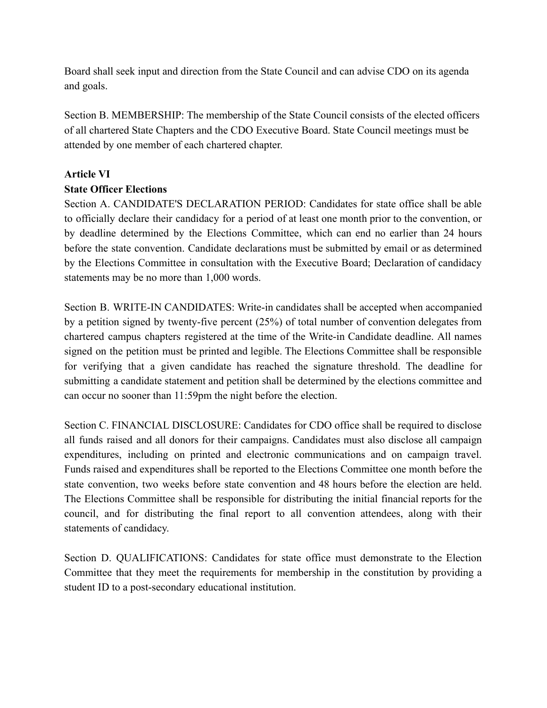Board shall seek input and direction from the State Council and can advise CDO on its agenda and goals.

Section B. MEMBERSHIP: The membership of the State Council consists of the elected officers of all chartered State Chapters and the CDO Executive Board. State Council meetings must be attended by one member of each chartered chapter.

## **Article VI**

#### **State Officer Elections**

Section A. CANDIDATE'S DECLARATION PERIOD: Candidates for state office shall be able to officially declare their candidacy for a period of at least one month prior to the convention, or by deadline determined by the Elections Committee, which can end no earlier than 24 hours before the state convention. Candidate declarations must be submitted by email or as determined by the Elections Committee in consultation with the Executive Board; Declaration of candidacy statements may be no more than 1,000 words.

Section B. WRITE-IN CANDIDATES: Write-in candidates shall be accepted when accompanied by a petition signed by twenty-five percent (25%) of total number of convention delegates from chartered campus chapters registered at the time of the Write-in Candidate deadline. All names signed on the petition must be printed and legible. The Elections Committee shall be responsible for verifying that a given candidate has reached the signature threshold. The deadline for submitting a candidate statement and petition shall be determined by the elections committee and can occur no sooner than 11:59pm the night before the election.

Section C. FINANCIAL DISCLOSURE: Candidates for CDO office shall be required to disclose all funds raised and all donors for their campaigns. Candidates must also disclose all campaign expenditures, including on printed and electronic communications and on campaign travel. Funds raised and expenditures shall be reported to the Elections Committee one month before the state convention, two weeks before state convention and 48 hours before the election are held. The Elections Committee shall be responsible for distributing the initial financial reports for the council, and for distributing the final report to all convention attendees, along with their statements of candidacy.

Section D. QUALIFICATIONS: Candidates for state office must demonstrate to the Election Committee that they meet the requirements for membership in the constitution by providing a student ID to a post-secondary educational institution.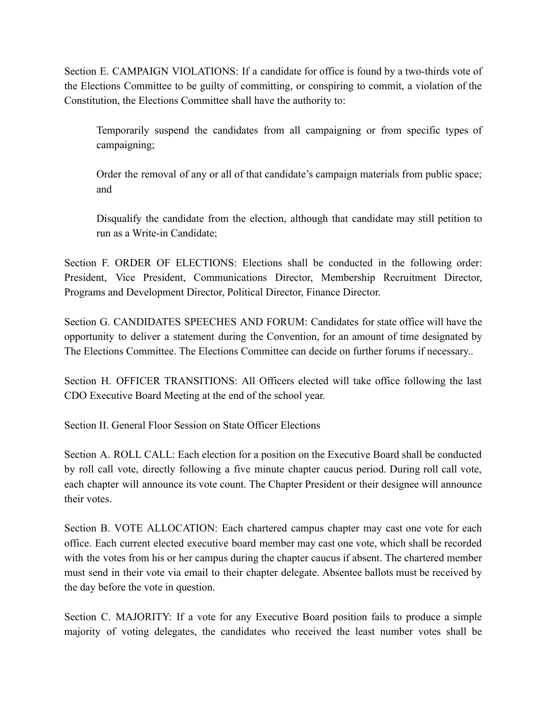Section E. CAMPAIGN VIOLATIONS: If a candidate for office is found by a two-thirds vote of the Elections Committee to be guilty of committing, or conspiring to commit, a violation of the Constitution, the Elections Committee shall have the authority to:

Temporarily suspend the candidates from all campaigning or from specific types of campaigning;

Order the removal of any or all of that candidate's campaign materials from public space; and

Disqualify the candidate from the election, although that candidate may still petition to run as a Write-in Candidate;

Section F. ORDER OF ELECTIONS: Elections shall be conducted in the following order: President, Vice President, Communications Director, Membership Recruitment Director, Programs and Development Director, Political Director, Finance Director.

Section G. CANDIDATES SPEECHES AND FORUM: Candidates for state office will have the opportunity to deliver a statement during the Convention, for an amount of time designated by The Elections Committee. The Elections Committee can decide on further forums if necessary..

Section H. OFFICER TRANSITIONS: All Officers elected will take office following the last CDO Executive Board Meeting at the end of the school year.

Section II. General Floor Session on State Officer Elections

Section A. ROLL CALL: Each election for a position on the Executive Board shall be conducted by roll call vote, directly following a five minute chapter caucus period. During roll call vote, each chapter will announce its vote count. The Chapter President or their designee will announce their votes.

Section B. VOTE ALLOCATION: Each chartered campus chapter may cast one vote for each office. Each current elected executive board member may cast one vote, which shall be recorded with the votes from his or her campus during the chapter caucus if absent. The chartered member must send in their vote via email to their chapter delegate. Absentee ballots must be received by the day before the vote in question.

Section C. MAJORITY: If a vote for any Executive Board position fails to produce a simple majority of voting delegates, the candidates who received the least number votes shall be